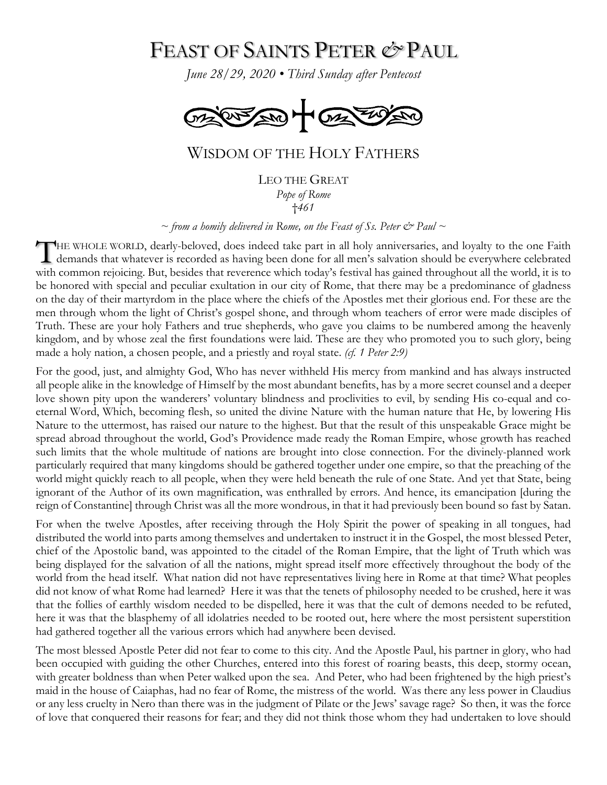## FEAST OF SAINTS PETER *&* PAUL

*June 28/29, 2020 • Third Sunday after Pentecost*



## WISDOM OF THE HOLY FATHERS

LEO THE GREAT *Pope of Rome* †*461*

 $\sim$  *from a homily delivered in Rome, on the Feast of Ss. Peter*  $\dot{\mathcal{C}}$  *Paul*  $\sim$ 

HE WHOLE WORLD, dearly-beloved, does indeed take part in all holy anniversaries, and loyalty to the one Faith THE WHOLE WORLD, dearly-beloved, does indeed take part in all holy anniversaries, and loyalty to the one Faith demands that whatever is recorded as having been done for all men's salvation should be everywhere celebrated with common rejoicing. But, besides that reverence which today's festival has gained throughout all the world, it is to be honored with special and peculiar exultation in our city of Rome, that there may be a predominance of gladness on the day of their martyrdom in the place where the chiefs of the Apostles met their glorious end. For these are the men through whom the light of Christ's gospel shone, and through whom teachers of error were made disciples of Truth. These are your holy Fathers and true shepherds, who gave you claims to be numbered among the heavenly kingdom, and by whose zeal the first foundations were laid. These are they who promoted you to such glory, being made a holy nation, a chosen people, and a priestly and royal state. *(cf. 1 Peter 2:9)*

For the good, just, and almighty God, Who has never withheld His mercy from mankind and has always instructed all people alike in the knowledge of Himself by the most abundant benefits, has by a more secret counsel and a deeper love shown pity upon the wanderers' voluntary blindness and proclivities to evil, by sending His co-equal and coeternal Word, Which, becoming flesh, so united the divine Nature with the human nature that He, by lowering His Nature to the uttermost, has raised our nature to the highest. But that the result of this unspeakable Grace might be spread abroad throughout the world, God's Providence made ready the Roman Empire, whose growth has reached such limits that the whole multitude of nations are brought into close connection. For the divinely-planned work particularly required that many kingdoms should be gathered together under one empire, so that the preaching of the world might quickly reach to all people, when they were held beneath the rule of one State. And yet that State, being ignorant of the Author of its own magnification, was enthralled by errors. And hence, its emancipation [during the reign of Constantine] through Christ was all the more wondrous, in that it had previously been bound so fast by Satan.

For when the twelve Apostles, after receiving through the Holy Spirit the power of speaking in all tongues, had distributed the world into parts among themselves and undertaken to instruct it in the Gospel, the most blessed Peter, chief of the Apostolic band, was appointed to the citadel of the Roman Empire, that the light of Truth which was being displayed for the salvation of all the nations, might spread itself more effectively throughout the body of the world from the head itself. What nation did not have representatives living here in Rome at that time? What peoples did not know of what Rome had learned? Here it was that the tenets of philosophy needed to be crushed, here it was that the follies of earthly wisdom needed to be dispelled, here it was that the cult of demons needed to be refuted, here it was that the blasphemy of all idolatries needed to be rooted out, here where the most persistent superstition had gathered together all the various errors which had anywhere been devised.

The most blessed Apostle Peter did not fear to come to this city. And the Apostle Paul, his partner in glory, who had been occupied with guiding the other Churches, entered into this forest of roaring beasts, this deep, stormy ocean, with greater boldness than when Peter walked upon the sea. And Peter, who had been frightened by the high priest's maid in the house of Caiaphas, had no fear of Rome, the mistress of the world. Was there any less power in Claudius or any less cruelty in Nero than there was in the judgment of Pilate or the Jews' savage rage? So then, it was the force of love that conquered their reasons for fear; and they did not think those whom they had undertaken to love should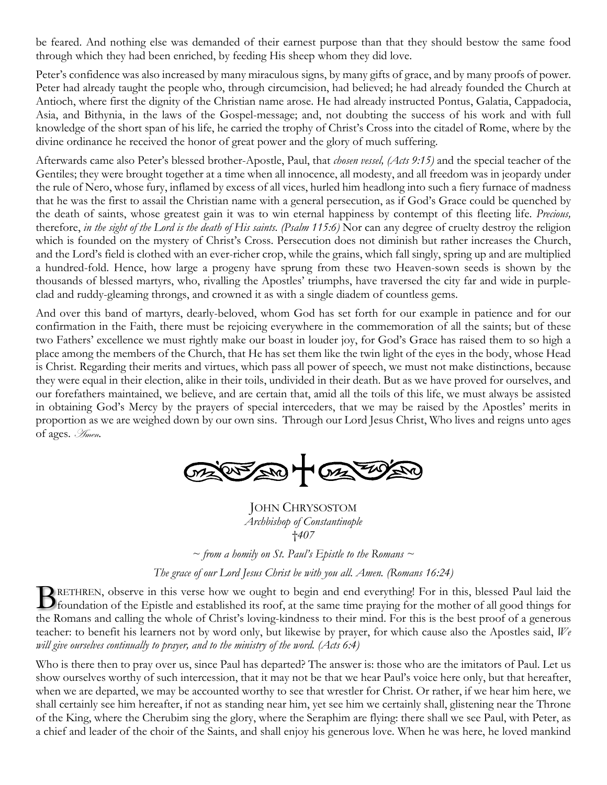be feared. And nothing else was demanded of their earnest purpose than that they should bestow the same food through which they had been enriched, by feeding His sheep whom they did love.

Peter's confidence was also increased by many miraculous signs, by many gifts of grace, and by many proofs of power. Peter had already taught the people who, through circumcision, had believed; he had already founded the Church at Antioch, where first the dignity of the Christian name arose. He had already instructed Pontus, Galatia, Cappadocia, Asia, and Bithynia, in the laws of the Gospel-message; and, not doubting the success of his work and with full knowledge of the short span of his life, he carried the trophy of Christ's Cross into the citadel of Rome, where by the divine ordinance he received the honor of great power and the glory of much suffering.

Afterwards came also Peter's blessed brother-Apostle, Paul, that *chosen vessel, (Acts 9:15)* and the special teacher of the Gentiles; they were brought together at a time when all innocence, all modesty, and all freedom was in jeopardy under the rule of Nero, whose fury, inflamed by excess of all vices, hurled him headlong into such a fiery furnace of madness that he was the first to assail the Christian name with a general persecution, as if God's Grace could be quenched by the death of saints, whose greatest gain it was to win eternal happiness by contempt of this fleeting life. *Precious,* therefore, *in the sight of the Lord is the death of His saints. (Psalm 115:6)* Nor can any degree of cruelty destroy the religion which is founded on the mystery of Christ's Cross. Persecution does not diminish but rather increases the Church, and the Lord's field is clothed with an ever-richer crop, while the grains, which fall singly, spring up and are multiplied a hundred-fold. Hence, how large a progeny have sprung from these two Heaven-sown seeds is shown by the thousands of blessed martyrs, who, rivalling the Apostles' triumphs, have traversed the city far and wide in purpleclad and ruddy-gleaming throngs, and crowned it as with a single diadem of countless gems.

And over this band of martyrs, dearly-beloved, whom God has set forth for our example in patience and for our confirmation in the Faith, there must be rejoicing everywhere in the commemoration of all the saints; but of these two Fathers' excellence we must rightly make our boast in louder joy, for God's Grace has raised them to so high a place among the members of the Church, that He has set them like the twin light of the eyes in the body, whose Head is Christ. Regarding their merits and virtues, which pass all power of speech, we must not make distinctions, because they were equal in their election, alike in their toils, undivided in their death. But as we have proved for ourselves, and our forefathers maintained, we believe, and are certain that, amid all the toils of this life, we must always be assisted in obtaining God's Mercy by the prayers of special interceders, that we may be raised by the Apostles' merits in proportion as we are weighed down by our own sins. Through our Lord Jesus Christ, Who lives and reigns unto ages of ages. Amen.

MARKER HORA

JOHN CHRYSOSTOM *Archbishop of Constantinople* †*407*

 $\sim$  *from a homily on St. Paul's Epistle to the Romans*  $\sim$ 

*The grace of our Lord Jesus Christ be with you all. Amen. (Romans 16:24)*

RETHREN, observe in this verse how we ought to begin and end everything! For in this, blessed Paul laid the **foundation** of the Epistle and established its roof, at the same time praying for the mother of all good things for the Romans and calling the whole of Christ's loving-kindness to their mind. For this is the best proof of a generous teacher: to benefit his learners not by word only, but likewise by prayer, for which cause also the Apostles said, *We will give ourselves continually to prayer, and to the ministry of the word. (Acts 6:4)*

Who is there then to pray over us, since Paul has departed? The answer is: those who are the imitators of Paul. Let us show ourselves worthy of such intercession, that it may not be that we hear Paul's voice here only, but that hereafter, when we are departed, we may be accounted worthy to see that wrestler for Christ. Or rather, if we hear him here, we shall certainly see him hereafter, if not as standing near him, yet see him we certainly shall, glistening near the Throne of the King, where the Cherubim sing the glory, where the Seraphim are flying: there shall we see Paul, with Peter, as a chief and leader of the choir of the Saints, and shall enjoy his generous love. When he was here, he loved mankind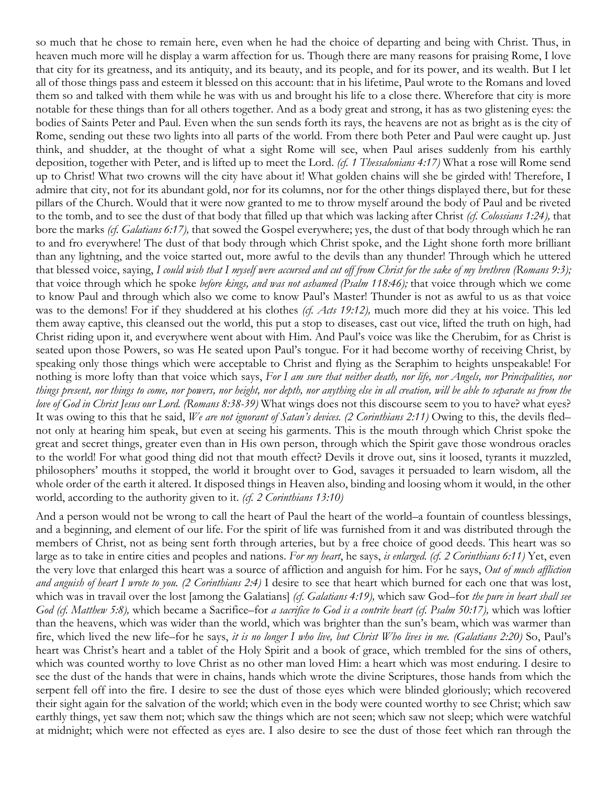so much that he chose to remain here, even when he had the choice of departing and being with Christ. Thus, in heaven much more will he display a warm affection for us. Though there are many reasons for praising Rome, I love that city for its greatness, and its antiquity, and its beauty, and its people, and for its power, and its wealth. But I let all of those things pass and esteem it blessed on this account: that in his lifetime, Paul wrote to the Romans and loved them so and talked with them while he was with us and brought his life to a close there. Wherefore that city is more notable for these things than for all others together. And as a body great and strong, it has as two glistening eyes: the bodies of Saints Peter and Paul. Even when the sun sends forth its rays, the heavens are not as bright as is the city of Rome, sending out these two lights into all parts of the world. From there both Peter and Paul were caught up. Just think, and shudder, at the thought of what a sight Rome will see, when Paul arises suddenly from his earthly deposition, together with Peter, and is lifted up to meet the Lord. *(cf. 1 Thessalonians 4:17)* What a rose will Rome send up to Christ! What two crowns will the city have about it! What golden chains will she be girded with! Therefore, I admire that city, not for its abundant gold, nor for its columns, nor for the other things displayed there, but for these pillars of the Church. Would that it were now granted to me to throw myself around the body of Paul and be riveted to the tomb, and to see the dust of that body that filled up that which was lacking after Christ *(cf. Colossians 1:24),* that bore the marks *(cf. Galatians 6:17),* that sowed the Gospel everywhere; yes, the dust of that body through which he ran to and fro everywhere! The dust of that body through which Christ spoke, and the Light shone forth more brilliant than any lightning, and the voice started out, more awful to the devils than any thunder! Through which he uttered that blessed voice, saying, *I could wish that I myself were accursed and cut off from Christ for the sake of my brethren (Romans 9:3);* that voice through which he spoke *before kings, and was not ashamed (Psalm 118:46);* that voice through which we come to know Paul and through which also we come to know Paul's Master! Thunder is not as awful to us as that voice was to the demons! For if they shuddered at his clothes *(cf. Acts 19:12),* much more did they at his voice. This led them away captive, this cleansed out the world, this put a stop to diseases, cast out vice, lifted the truth on high, had Christ riding upon it, and everywhere went about with Him. And Paul's voice was like the Cherubim, for as Christ is seated upon those Powers, so was He seated upon Paul's tongue. For it had become worthy of receiving Christ, by speaking only those things which were acceptable to Christ and flying as the Seraphim to heights unspeakable! For nothing is more lofty than that voice which says, *For I am sure that neither death, nor life, nor Angels, nor Principalities, nor things present, nor things to come, nor powers, nor height, nor depth, nor anything else in all creation, will be able to separate us from the love of God in Christ Jesus our Lord. (Romans 8:38-39)* What wings does not this discourse seem to you to have? what eyes? It was owing to this that he said, *We are not ignorant of Satan's devices. (2 Corinthians 2:11)* Owing to this, the devils fled– not only at hearing him speak, but even at seeing his garments. This is the mouth through which Christ spoke the great and secret things, greater even than in His own person, through which the Spirit gave those wondrous oracles to the world! For what good thing did not that mouth effect? Devils it drove out, sins it loosed, tyrants it muzzled, philosophers' mouths it stopped, the world it brought over to God, savages it persuaded to learn wisdom, all the whole order of the earth it altered. It disposed things in Heaven also, binding and loosing whom it would, in the other world, according to the authority given to it. *(cf. 2 Corinthians 13:10)*

And a person would not be wrong to call the heart of Paul the heart of the world–a fountain of countless blessings, and a beginning, and element of our life. For the spirit of life was furnished from it and was distributed through the members of Christ, not as being sent forth through arteries, but by a free choice of good deeds. This heart was so large as to take in entire cities and peoples and nations. *For my heart*, he says, *is enlarged. (cf. 2 Corinthians 6:11)* Yet, even the very love that enlarged this heart was a source of affliction and anguish for him. For he says, *Out of much affliction and anguish of heart I wrote to you. (2 Corinthians 2:4)* I desire to see that heart which burned for each one that was lost, which was in travail over the lost [among the Galatians] *(cf. Galatians 4:19),* which saw God–for *the pure in heart shall see God (cf. Matthew 5:8),* which became a Sacrifice–for *a sacrifice to God is a contrite heart (cf. Psalm 50:17),* which was loftier than the heavens, which was wider than the world, which was brighter than the sun's beam, which was warmer than fire, which lived the new life–for he says, *it is no longer I who live, but Christ Who lives in me. (Galatians 2:20)* So, Paul's heart was Christ's heart and a tablet of the Holy Spirit and a book of grace, which trembled for the sins of others, which was counted worthy to love Christ as no other man loved Him: a heart which was most enduring. I desire to see the dust of the hands that were in chains, hands which wrote the divine Scriptures, those hands from which the serpent fell off into the fire. I desire to see the dust of those eyes which were blinded gloriously; which recovered their sight again for the salvation of the world; which even in the body were counted worthy to see Christ; which saw earthly things, yet saw them not; which saw the things which are not seen; which saw not sleep; which were watchful at midnight; which were not effected as eyes are. I also desire to see the dust of those feet which ran through the